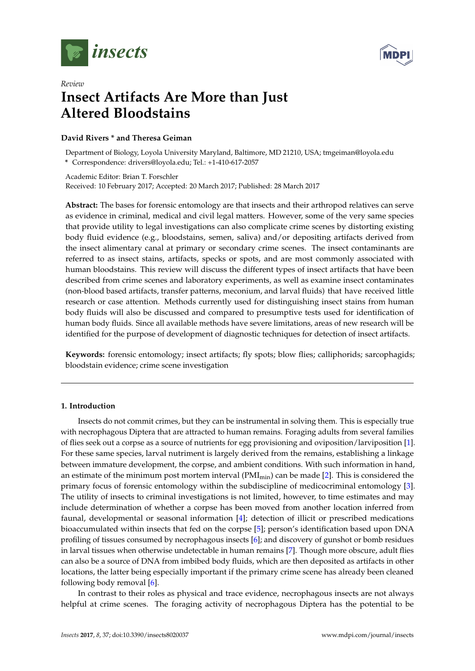



# *Review* **Insect Artifacts Are More than Just Altered Bloodstains**

## **David Rivers \* and Theresa Geiman**

Department of Biology, Loyola University Maryland, Baltimore, MD 21210, USA; tmgeiman@loyola.edu **\*** Correspondence: drivers@loyola.edu; Tel.: +1-410-617-2057

Academic Editor: Brian T. Forschler Received: 10 February 2017; Accepted: 20 March 2017; Published: 28 March 2017

**Abstract:** The bases for forensic entomology are that insects and their arthropod relatives can serve as evidence in criminal, medical and civil legal matters. However, some of the very same species that provide utility to legal investigations can also complicate crime scenes by distorting existing body fluid evidence (e.g., bloodstains, semen, saliva) and/or depositing artifacts derived from the insect alimentary canal at primary or secondary crime scenes. The insect contaminants are referred to as insect stains, artifacts, specks or spots, and are most commonly associated with human bloodstains. This review will discuss the different types of insect artifacts that have been described from crime scenes and laboratory experiments, as well as examine insect contaminates (non-blood based artifacts, transfer patterns, meconium, and larval fluids) that have received little research or case attention. Methods currently used for distinguishing insect stains from human body fluids will also be discussed and compared to presumptive tests used for identification of human body fluids. Since all available methods have severe limitations, areas of new research will be identified for the purpose of development of diagnostic techniques for detection of insect artifacts.

**Keywords:** forensic entomology; insect artifacts; fly spots; blow flies; calliphorids; sarcophagids; bloodstain evidence; crime scene investigation

## **1. Introduction**

Insects do not commit crimes, but they can be instrumental in solving them. This is especially true with necrophagous Diptera that are attracted to human remains. Foraging adults from several families of flies seek out a corpse as a source of nutrients for egg provisioning and oviposition/larviposition [\[1\]](#page-11-0). For these same species, larval nutriment is largely derived from the remains, establishing a linkage between immature development, the corpse, and ambient conditions. With such information in hand, an estimate of the minimum post mortem interval  $(PMI_{min})$  can be made [\[2\]](#page-11-1). This is considered the primary focus of forensic entomology within the subdiscipline of medicocriminal entomology [\[3\]](#page-12-0). The utility of insects to criminal investigations is not limited, however, to time estimates and may include determination of whether a corpse has been moved from another location inferred from faunal, developmental or seasonal information [\[4\]](#page-12-1); detection of illicit or prescribed medications bioaccumulated within insects that fed on the corpse [\[5\]](#page-12-2); person's identification based upon DNA profiling of tissues consumed by necrophagous insects [\[6\]](#page-12-3); and discovery of gunshot or bomb residues in larval tissues when otherwise undetectable in human remains [\[7\]](#page-12-4). Though more obscure, adult flies can also be a source of DNA from imbibed body fluids, which are then deposited as artifacts in other locations, the latter being especially important if the primary crime scene has already been cleaned following body removal [\[6\]](#page-12-3).

In contrast to their roles as physical and trace evidence, necrophagous insects are not always helpful at crime scenes. The foraging activity of necrophagous Diptera has the potential to be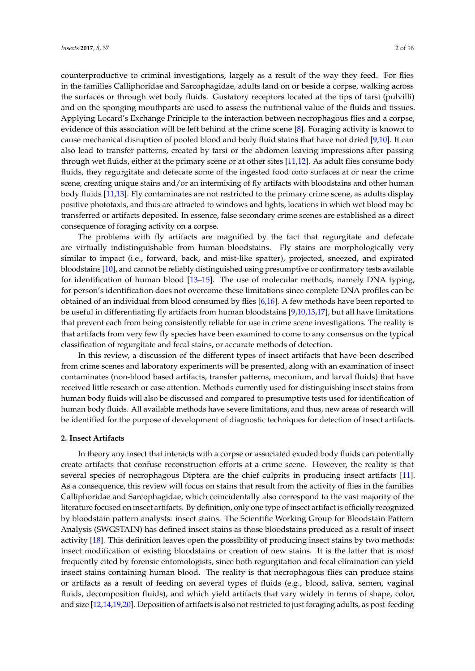counterproductive to criminal investigations, largely as a result of the way they feed. For flies in the families Calliphoridae and Sarcophagidae, adults land on or beside a corpse, walking across the surfaces or through wet body fluids. Gustatory receptors located at the tips of tarsi (pulvilli) and on the sponging mouthparts are used to assess the nutritional value of the fluids and tissues. Applying Locard's Exchange Principle to the interaction between necrophagous flies and a corpse, evidence of this association will be left behind at the crime scene [\[8\]](#page-12-5). Foraging activity is known to cause mechanical disruption of pooled blood and body fluid stains that have not dried [\[9,](#page-12-6)[10\]](#page-12-7). It can also lead to transfer patterns, created by tarsi or the abdomen leaving impressions after passing through wet fluids, either at the primary scene or at other sites [\[11](#page-12-8)[,12\]](#page-12-9). As adult flies consume body fluids, they regurgitate and defecate some of the ingested food onto surfaces at or near the crime scene, creating unique stains and/or an intermixing of fly artifacts with bloodstains and other human body fluids [\[11,](#page-12-8)[13\]](#page-12-10). Fly contaminates are not restricted to the primary crime scene, as adults display positive phototaxis, and thus are attracted to windows and lights, locations in which wet blood may be transferred or artifacts deposited. In essence, false secondary crime scenes are established as a direct

The problems with fly artifacts are magnified by the fact that regurgitate and defecate are virtually indistinguishable from human bloodstains. Fly stains are morphologically very similar to impact (i.e., forward, back, and mist-like spatter), projected, sneezed, and expirated bloodstains [\[10\]](#page-12-7), and cannot be reliably distinguished using presumptive or confirmatory tests available for identification of human blood [\[13](#page-12-10)[–15\]](#page-12-11). The use of molecular methods, namely DNA typing, for person's identification does not overcome these limitations since complete DNA profiles can be obtained of an individual from blood consumed by flies [\[6](#page-12-3)[,16\]](#page-12-12). A few methods have been reported to be useful in differentiating fly artifacts from human bloodstains [\[9,](#page-12-6)[10,](#page-12-7)[13,](#page-12-10)[17\]](#page-12-13), but all have limitations that prevent each from being consistently reliable for use in crime scene investigations. The reality is that artifacts from very few fly species have been examined to come to any consensus on the typical classification of regurgitate and fecal stains, or accurate methods of detection.

In this review, a discussion of the different types of insect artifacts that have been described from crime scenes and laboratory experiments will be presented, along with an examination of insect contaminates (non-blood based artifacts, transfer patterns, meconium, and larval fluids) that have received little research or case attention. Methods currently used for distinguishing insect stains from human body fluids will also be discussed and compared to presumptive tests used for identification of human body fluids. All available methods have severe limitations, and thus, new areas of research will be identified for the purpose of development of diagnostic techniques for detection of insect artifacts.

#### **2. Insect Artifacts**

consequence of foraging activity on a corpse.

In theory any insect that interacts with a corpse or associated exuded body fluids can potentially create artifacts that confuse reconstruction efforts at a crime scene. However, the reality is that several species of necrophagous Diptera are the chief culprits in producing insect artifacts [\[11\]](#page-12-8). As a consequence, this review will focus on stains that result from the activity of flies in the families Calliphoridae and Sarcophagidae, which coincidentally also correspond to the vast majority of the literature focused on insect artifacts. By definition, only one type of insect artifact is officially recognized by bloodstain pattern analysts: insect stains. The Scientific Working Group for Bloodstain Pattern Analysis (SWGSTAIN) has defined insect stains as those bloodstains produced as a result of insect activity [\[18\]](#page-12-14). This definition leaves open the possibility of producing insect stains by two methods: insect modification of existing bloodstains or creation of new stains. It is the latter that is most frequently cited by forensic entomologists, since both regurgitation and fecal elimination can yield insect stains containing human blood. The reality is that necrophagous flies can produce stains or artifacts as a result of feeding on several types of fluids (e.g., blood, saliva, semen, vaginal fluids, decomposition fluids), and which yield artifacts that vary widely in terms of shape, color, and size [\[12,](#page-12-9)[14,](#page-12-15)[19](#page-12-16)[,20\]](#page-12-17). Deposition of artifacts is also not restricted to just foraging adults, as post-feeding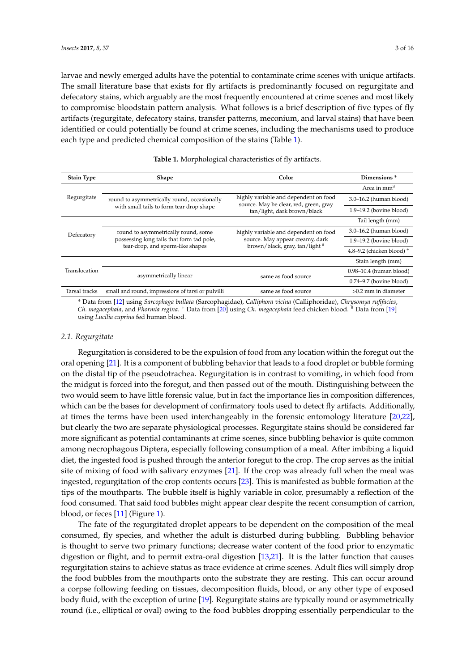larvae and newly emerged adults have the potential to contaminate crime scenes with unique artifacts. The small literature base that exists for fly artifacts is predominantly focused on regurgitate and defecatory stains, which arguably are the most frequently encountered at crime scenes and most likely to compromise bloodstain pattern analysis. What follows is a brief description of five types of fly artifacts (regurgitate, defecatory stains, transfer patterns, meconium, and larval stains) that have been identified or could potentially be found at crime scenes, including the mechanisms used to produce each type and predicted chemical composition of the stains (Table [1\)](#page-2-0).

<span id="page-2-0"></span>

| <b>Stain Type</b> | <b>Shape</b>                                                                                                         | Color                                                                                                                 | Dimensions <sup>*</sup>     |
|-------------------|----------------------------------------------------------------------------------------------------------------------|-----------------------------------------------------------------------------------------------------------------------|-----------------------------|
| Regurgitate       |                                                                                                                      |                                                                                                                       | Area in mm <sup>3</sup>     |
|                   | round to asymmetrically round, occasionally<br>with small tails to form tear drop shape                              | highly variable and dependent on food<br>source. May be clear, red, green, gray<br>tan/light, dark brown/black        | 3.0-16.2 (human blood)      |
|                   |                                                                                                                      |                                                                                                                       | $1.9-19.2$ (bovine blood)   |
| Defecatory        |                                                                                                                      |                                                                                                                       | Tail length (mm)            |
|                   | round to asymmetrically round, some<br>possessing long tails that form tad pole,<br>tear-drop, and sperm-like shapes | highly variable and dependent on food<br>source. May appear creamy, dark<br>brown/black, gray, tan/light <sup>#</sup> | $3.0-16.2$ (human blood)    |
|                   |                                                                                                                      |                                                                                                                       | $1.9-19.2$ (bovine blood)   |
|                   |                                                                                                                      |                                                                                                                       | 4.8–9.2 (chicken blood) $+$ |
| Translocation     |                                                                                                                      |                                                                                                                       | Stain length (mm)           |
|                   | asymmetrically linear                                                                                                | same as food source                                                                                                   | $0.98-10.4$ (human blood)   |
|                   |                                                                                                                      |                                                                                                                       | $0.74 - 9.7$ (bovine blood) |
| Tarsal tracks     | small and round, impressions of tarsi or pulvilli                                                                    | same as food source                                                                                                   | $>0.2$ mm in diameter       |

| Table 1. Morphological characteristics of fly artifacts. |  |  |
|----------------------------------------------------------|--|--|
|----------------------------------------------------------|--|--|

\* Data from [\[12\]](#page-12-9) using *Sarcophaga bullata* (Sarcophagidae), *Calliphora vicina* (Calliphoridae), *Chrysomya rufifacies*, *Ch. megacephala*, and *Phormia regina*. <sup>+</sup> Data from [\[20\]](#page-12-17) using *Ch. megacephala* feed chicken blood. # Data from [\[19\]](#page-12-16) using *Lucilia cuprina* fed human blood.

## *2.1. Regurgitate*

Regurgitation is considered to be the expulsion of food from any location within the foregut out the oral opening [\[21\]](#page-12-18). It is a component of bubbling behavior that leads to a food droplet or bubble forming on the distal tip of the pseudotrachea. Regurgitation is in contrast to vomiting, in which food from the midgut is forced into the foregut, and then passed out of the mouth. Distinguishing between the two would seem to have little forensic value, but in fact the importance lies in composition differences, which can be the bases for development of confirmatory tools used to detect fly artifacts. Additionally, at times the terms have been used interchangeably in the forensic entomology literature [\[20,](#page-12-17)[22\]](#page-12-19), but clearly the two are separate physiological processes. Regurgitate stains should be considered far more significant as potential contaminants at crime scenes, since bubbling behavior is quite common among necrophagous Diptera, especially following consumption of a meal. After imbibing a liquid diet, the ingested food is pushed through the anterior foregut to the crop. The crop serves as the initial site of mixing of food with salivary enzymes [\[21\]](#page-12-18). If the crop was already full when the meal was ingested, regurgitation of the crop contents occurs [\[23\]](#page-13-0). This is manifested as bubble formation at the tips of the mouthparts. The bubble itself is highly variable in color, presumably a reflection of the food consumed. That said food bubbles might appear clear despite the recent consumption of carrion, blood, or feces [\[11\]](#page-12-8) (Figure [1\)](#page-3-0).

The fate of the regurgitated droplet appears to be dependent on the composition of the meal consumed, fly species, and whether the adult is disturbed during bubbling. Bubbling behavior is thought to serve two primary functions; decrease water content of the food prior to enzymatic digestion or flight, and to permit extra-oral digestion [\[13](#page-12-10)[,21\]](#page-12-18). It is the latter function that causes regurgitation stains to achieve status as trace evidence at crime scenes. Adult flies will simply drop the food bubbles from the mouthparts onto the substrate they are resting. This can occur around a corpse following feeding on tissues, decomposition fluids, blood, or any other type of exposed body fluid, with the exception of urine [\[19\]](#page-12-16). Regurgitate stains are typically round or asymmetrically round (i.e., elliptical or oval) owing to the food bubbles dropping essentially perpendicular to the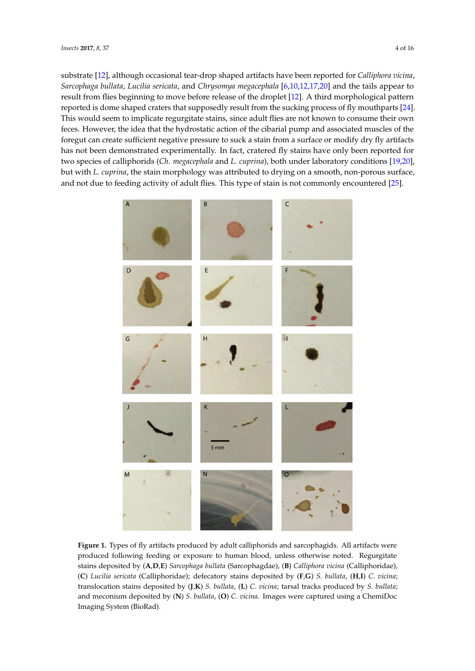substrate [\[12\]](#page-12-9), although occasional tear-drop shaped artifacts have been reported for *Calliphora vicina*, *Sarcophaga bullata, Lucilia sericata, and <i>Chrysomya megacephala* [\[6](#page-12-3)[,10](#page-12-7)[,12](#page-12-9)[,17](#page-12-13)[,20\]](#page-12-17) and the tails appear to result from flies beginning to move before release of the droplet [\[12\]](#page-12-9). A third morphological pattern reported is dome shaped craters that supposedly result from the sucking process of fly mouthparts [\[24\]](#page-13-1). This would seem to implicate regurgitate stains, since adult flies are not known to consume their own feces. However, the idea that the hydrostatic action of the cibarial pump and associated muscles of the foregut can create sufficient negative pressure to suck a stain from a surface or modify dry fly artifacts has not been demonstrated experimentally. In fact, cratered fly stains have only been reported for two species of calliphorids (Ch. megacephala and L. cuprina), both under laboratory conditions [\[19,](#page-12-16)[20\]](#page-12-17), but with *L. cuprina,* the stain morphology was attributed to drying on a smooth, non-porous surface, and not due to feeding activity of adult flies. This type of stain is not commonly encountered [\[25\]](#page-13-2). both under laboratory conditions [19,20], but with *L. cuprina*, the stain morphology was attributed to

<span id="page-3-0"></span>

**Figure 1.** Types of fly artifacts produced by adult calliphorids and sarcophagids. All artifacts were **Figure 1.** Types of fly artifacts produced by adult calliphorids and sarcophagids. All artifacts were produced following feeding or exposure to human blood, unless otherwise noted. Regurgitate  $\frac{1}{2}$  **by (A**, D, E<sup>2</sup>) *C*<sub>*a*</sub> **b**<sub>*L*</sub> *C*<sub>*a*</sub> *L L l*<sub></sub> *l*<sub>*l*</sub> *l*<sub>*l*</sub> *l*<sub>*l*</sub> *l*<sub>*l*</sub> *(C*) *c*) *l*<sub>*l*</sub> *l*<sub>*l*</sub> *l*<sub>*l*</sub> *l*<sub>*l*</sub> *l*<sub>*l*</sub> *l*<sub>*l*</sub> *l*<sub>*l*</sub> *l*<sub>*l*</sub> *l*<sub>*l*</sub> *l*<sub>*l*</sub> *l*<sub>*l*</sub> stains deposited by (A,D,E) Sarcophaga bullata (Sarcophagdae), (B) Calliphora vicina (Calliphoridae), (C) Lucilia sericata (Calliphoridae); defecatory stains deposited by (F,G) S. bullata, (H,I) C. vicina; translocation stains deposited by (J,K) S. bullata, (L) C. vicina; tarsal tracks produced by S. bullata; and meconium deposited by (**N**) *S. bullata*, (**O**) *C. vicina*. Images were captured using a ChemiDoc Imaging System (BioRad).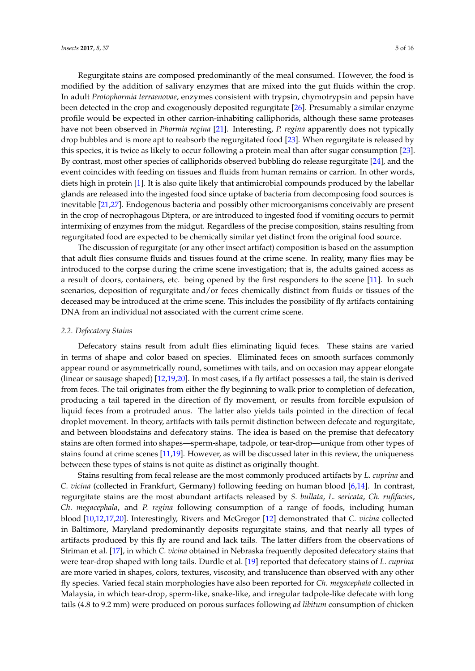Regurgitate stains are composed predominantly of the meal consumed. However, the food is modified by the addition of salivary enzymes that are mixed into the gut fluids within the crop. In adult *Protophormia terraenovae*, enzymes consistent with trypsin, chymotrypsin and pepsin have been detected in the crop and exogenously deposited regurgitate [\[26\]](#page-13-3). Presumably a similar enzyme profile would be expected in other carrion-inhabiting calliphorids, although these same proteases have not been observed in *Phormia regina* [\[21\]](#page-12-18). Interesting, *P. regina* apparently does not typically drop bubbles and is more apt to reabsorb the regurgitated food [\[23\]](#page-13-0). When regurgitate is released by this species, it is twice as likely to occur following a protein meal than after sugar consumption [\[23\]](#page-13-0). By contrast, most other species of calliphorids observed bubbling do release regurgitate [\[24\]](#page-13-1), and the event coincides with feeding on tissues and fluids from human remains or carrion. In other words, diets high in protein [\[1\]](#page-11-0). It is also quite likely that antimicrobial compounds produced by the labellar glands are released into the ingested food since uptake of bacteria from decomposing food sources is inevitable [\[21](#page-12-18)[,27\]](#page-13-4). Endogenous bacteria and possibly other microorganisms conceivably are present in the crop of necrophagous Diptera, or are introduced to ingested food if vomiting occurs to permit intermixing of enzymes from the midgut. Regardless of the precise composition, stains resulting from regurgitated food are expected to be chemically similar yet distinct from the original food source.

The discussion of regurgitate (or any other insect artifact) composition is based on the assumption that adult flies consume fluids and tissues found at the crime scene. In reality, many flies may be introduced to the corpse during the crime scene investigation; that is, the adults gained access as a result of doors, containers, etc. being opened by the first responders to the scene [\[11\]](#page-12-8). In such scenarios, deposition of regurgitate and/or feces chemically distinct from fluids or tissues of the deceased may be introduced at the crime scene. This includes the possibility of fly artifacts containing DNA from an individual not associated with the current crime scene.

## *2.2. Defecatory Stains*

Defecatory stains result from adult flies eliminating liquid feces. These stains are varied in terms of shape and color based on species. Eliminated feces on smooth surfaces commonly appear round or asymmetrically round, sometimes with tails, and on occasion may appear elongate (linear or sausage shaped) [\[12](#page-12-9)[,19,](#page-12-16)[20\]](#page-12-17). In most cases, if a fly artifact possesses a tail, the stain is derived from feces. The tail originates from either the fly beginning to walk prior to completion of defecation, producing a tail tapered in the direction of fly movement, or results from forcible expulsion of liquid feces from a protruded anus. The latter also yields tails pointed in the direction of fecal droplet movement. In theory, artifacts with tails permit distinction between defecate and regurgitate, and between bloodstains and defecatory stains. The idea is based on the premise that defecatory stains are often formed into shapes—sperm-shape, tadpole, or tear-drop—unique from other types of stains found at crime scenes [\[11](#page-12-8)[,19\]](#page-12-16). However, as will be discussed later in this review, the uniqueness between these types of stains is not quite as distinct as originally thought.

Stains resulting from fecal release are the most commonly produced artifacts by *L. cuprina* and *C. vicina* (collected in Frankfurt, Germany) following feeding on human blood [\[6,](#page-12-3)[14\]](#page-12-15). In contrast, regurgitate stains are the most abundant artifacts released by *S. bullata*, *L. sericata*, *Ch. rufifacies*, *Ch*. *megacephala*, and *P. regina* following consumption of a range of foods, including human blood [\[10,](#page-12-7)[12,](#page-12-9)[17,](#page-12-13)[20\]](#page-12-17). Interestingly, Rivers and McGregor [\[12\]](#page-12-9) demonstrated that *C. vicina* collected in Baltimore, Maryland predominantly deposits regurgitate stains, and that nearly all types of artifacts produced by this fly are round and lack tails. The latter differs from the observations of Striman et al. [\[17\]](#page-12-13), in which *C. vicina* obtained in Nebraska frequently deposited defecatory stains that were tear-drop shaped with long tails. Durdle et al. [\[19\]](#page-12-16) reported that defecatory stains of *L. cuprina* are more varied in shapes, colors, textures, viscosity, and translucence than observed with any other fly species. Varied fecal stain morphologies have also been reported for *Ch. megacephala* collected in Malaysia, in which tear-drop, sperm-like, snake-like, and irregular tadpole-like defecate with long tails (4.8 to 9.2 mm) were produced on porous surfaces following *ad libitum* consumption of chicken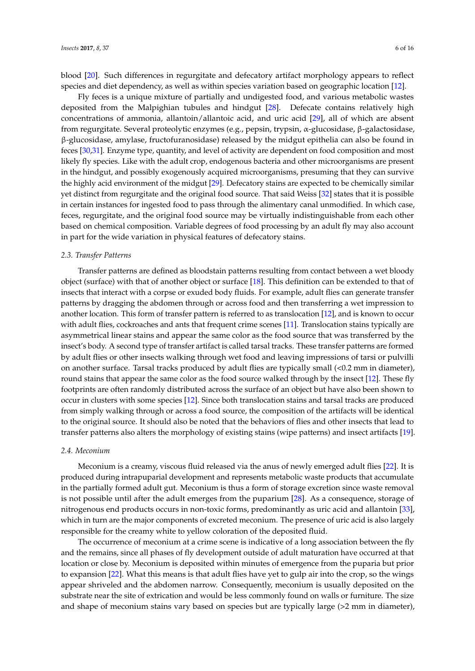blood [\[20\]](#page-12-17). Such differences in regurgitate and defecatory artifact morphology appears to reflect species and diet dependency, as well as within species variation based on geographic location [\[12\]](#page-12-9).

Fly feces is a unique mixture of partially and undigested food, and various metabolic wastes deposited from the Malpighian tubules and hindgut [\[28\]](#page-13-5). Defecate contains relatively high concentrations of ammonia, allantoin/allantoic acid, and uric acid [\[29\]](#page-13-6), all of which are absent from regurgitate. Several proteolytic enzymes (e.g., pepsin, trypsin, α-glucosidase, β-galactosidase, β-glucosidase, amylase, fructofuranosidase) released by the midgut epithelia can also be found in feces [\[30,](#page-13-7)[31\]](#page-13-8). Enzyme type, quantity, and level of activity are dependent on food composition and most likely fly species. Like with the adult crop, endogenous bacteria and other microorganisms are present in the hindgut, and possibly exogenously acquired microorganisms, presuming that they can survive the highly acid environment of the midgut [\[29\]](#page-13-6). Defecatory stains are expected to be chemically similar yet distinct from regurgitate and the original food source. That said Weiss [\[32\]](#page-13-9) states that it is possible in certain instances for ingested food to pass through the alimentary canal unmodified. In which case, feces, regurgitate, and the original food source may be virtually indistinguishable from each other based on chemical composition. Variable degrees of food processing by an adult fly may also account in part for the wide variation in physical features of defecatory stains.

## *2.3. Transfer Patterns*

Transfer patterns are defined as bloodstain patterns resulting from contact between a wet bloody object (surface) with that of another object or surface [\[18\]](#page-12-14). This definition can be extended to that of insects that interact with a corpse or exuded body fluids. For example, adult flies can generate transfer patterns by dragging the abdomen through or across food and then transferring a wet impression to another location. This form of transfer pattern is referred to as translocation [\[12\]](#page-12-9), and is known to occur with adult flies, cockroaches and ants that frequent crime scenes [\[11\]](#page-12-8). Translocation stains typically are asymmetrical linear stains and appear the same color as the food source that was transferred by the insect's body. A second type of transfer artifact is called tarsal tracks. These transfer patterns are formed by adult flies or other insects walking through wet food and leaving impressions of tarsi or pulvilli on another surface. Tarsal tracks produced by adult flies are typically small (<0.2 mm in diameter), round stains that appear the same color as the food source walked through by the insect [\[12\]](#page-12-9). These fly footprints are often randomly distributed across the surface of an object but have also been shown to occur in clusters with some species [\[12\]](#page-12-9). Since both translocation stains and tarsal tracks are produced from simply walking through or across a food source, the composition of the artifacts will be identical to the original source. It should also be noted that the behaviors of flies and other insects that lead to transfer patterns also alters the morphology of existing stains (wipe patterns) and insect artifacts [\[19\]](#page-12-16).

#### *2.4. Meconium*

Meconium is a creamy, viscous fluid released via the anus of newly emerged adult flies [\[22\]](#page-12-19). It is produced during intrapuparial development and represents metabolic waste products that accumulate in the partially formed adult gut. Meconium is thus a form of storage excretion since waste removal is not possible until after the adult emerges from the puparium [\[28\]](#page-13-5). As a consequence, storage of nitrogenous end products occurs in non-toxic forms, predominantly as uric acid and allantoin [\[33\]](#page-13-10), which in turn are the major components of excreted meconium. The presence of uric acid is also largely responsible for the creamy white to yellow coloration of the deposited fluid.

The occurrence of meconium at a crime scene is indicative of a long association between the fly and the remains, since all phases of fly development outside of adult maturation have occurred at that location or close by. Meconium is deposited within minutes of emergence from the puparia but prior to expansion [\[22\]](#page-12-19). What this means is that adult flies have yet to gulp air into the crop, so the wings appear shriveled and the abdomen narrow. Consequently, meconium is usually deposited on the substrate near the site of extrication and would be less commonly found on walls or furniture. The size and shape of meconium stains vary based on species but are typically large (>2 mm in diameter),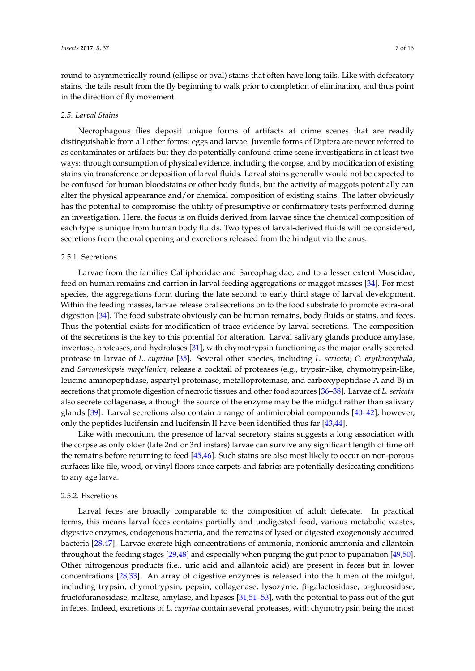round to asymmetrically round (ellipse or oval) stains that often have long tails. Like with defecatory stains, the tails result from the fly beginning to walk prior to completion of elimination, and thus point in the direction of fly movement.

#### *2.5. Larval Stains*

Necrophagous flies deposit unique forms of artifacts at crime scenes that are readily distinguishable from all other forms: eggs and larvae. Juvenile forms of Diptera are never referred to as contaminates or artifacts but they do potentially confound crime scene investigations in at least two ways: through consumption of physical evidence, including the corpse, and by modification of existing stains via transference or deposition of larval fluids. Larval stains generally would not be expected to be confused for human bloodstains or other body fluids, but the activity of maggots potentially can alter the physical appearance and/or chemical composition of existing stains. The latter obviously has the potential to compromise the utility of presumptive or confirmatory tests performed during an investigation. Here, the focus is on fluids derived from larvae since the chemical composition of each type is unique from human body fluids. Two types of larval-derived fluids will be considered, secretions from the oral opening and excretions released from the hindgut via the anus.

## 2.5.1. Secretions

Larvae from the families Calliphoridae and Sarcophagidae, and to a lesser extent Muscidae, feed on human remains and carrion in larval feeding aggregations or maggot masses [\[34\]](#page-13-11). For most species, the aggregations form during the late second to early third stage of larval development. Within the feeding masses, larvae release oral secretions on to the food substrate to promote extra-oral digestion [\[34\]](#page-13-11). The food substrate obviously can be human remains, body fluids or stains, and feces. Thus the potential exists for modification of trace evidence by larval secretions. The composition of the secretions is the key to this potential for alteration. Larval salivary glands produce amylase, invertase, proteases, and hydrolases [\[31\]](#page-13-8), with chymotrypsin functioning as the major orally secreted protease in larvae of *L. cuprina* [\[35\]](#page-13-12). Several other species, including *L. sericata*, *C. erythrocephala*, and *Sarconesiopsis magellanica*, release a cocktail of proteases (e.g., trypsin-like, chymotrypsin-like, leucine aminopeptidase, aspartyl proteinase, metalloproteinase, and carboxypeptidase A and B) in secretions that promote digestion of necrotic tissues and other food sources [\[36](#page-13-13)[–38\]](#page-13-14). Larvae of *L. sericata* also secrete collagenase, although the source of the enzyme may be the midgut rather than salivary glands [\[39\]](#page-13-15). Larval secretions also contain a range of antimicrobial compounds [\[40](#page-13-16)[–42\]](#page-13-17), however, only the peptides lucifensin and lucifensin II have been identified thus far [\[43](#page-13-18)[,44\]](#page-13-19).

Like with meconium, the presence of larval secretory stains suggests a long association with the corpse as only older (late 2nd or 3rd instars) larvae can survive any significant length of time off the remains before returning to feed [\[45,](#page-14-0)[46\]](#page-14-1). Such stains are also most likely to occur on non-porous surfaces like tile, wood, or vinyl floors since carpets and fabrics are potentially desiccating conditions to any age larva.

#### 2.5.2. Excretions

Larval feces are broadly comparable to the composition of adult defecate. In practical terms, this means larval feces contains partially and undigested food, various metabolic wastes, digestive enzymes, endogenous bacteria, and the remains of lysed or digested exogenously acquired bacteria [\[28,](#page-13-5)[47\]](#page-14-2). Larvae excrete high concentrations of ammonia, nonionic ammonia and allantoin throughout the feeding stages [\[29](#page-13-6)[,48\]](#page-14-3) and especially when purging the gut prior to pupariation [\[49](#page-14-4)[,50\]](#page-14-5). Other nitrogenous products (i.e., uric acid and allantoic acid) are present in feces but in lower concentrations [\[28](#page-13-5)[,33\]](#page-13-10). An array of digestive enzymes is released into the lumen of the midgut, including trypsin, chymotrypsin, pepsin, collagenase, lysozyme, β-galactosidase, α-glucosidase, fructofuranosidase, maltase, amylase, and lipases [\[31,](#page-13-8)[51](#page-14-6)[–53\]](#page-14-7), with the potential to pass out of the gut in feces. Indeed, excretions of *L. cuprina* contain several proteases, with chymotrypsin being the most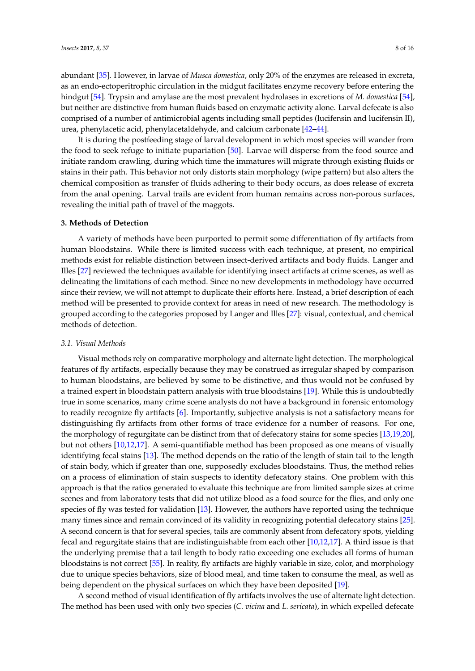abundant [\[35\]](#page-13-12). However, in larvae of *Musca domestica*, only 20% of the enzymes are released in excreta, as an endo-ectoperitrophic circulation in the midgut facilitates enzyme recovery before entering the hindgut [\[54\]](#page-14-8). Trypsin and amylase are the most prevalent hydrolases in excretions of *M. domestica* [\[54\]](#page-14-8), but neither are distinctive from human fluids based on enzymatic activity alone. Larval defecate is also comprised of a number of antimicrobial agents including small peptides (lucifensin and lucifensin II), urea, phenylacetic acid, phenylacetaldehyde, and calcium carbonate [\[42–](#page-13-17)[44\]](#page-13-19).

It is during the postfeeding stage of larval development in which most species will wander from the food to seek refuge to initiate pupariation [\[50\]](#page-14-5). Larvae will disperse from the food source and initiate random crawling, during which time the immatures will migrate through existing fluids or stains in their path. This behavior not only distorts stain morphology (wipe pattern) but also alters the chemical composition as transfer of fluids adhering to their body occurs, as does release of excreta from the anal opening. Larval trails are evident from human remains across non-porous surfaces, revealing the initial path of travel of the maggots.

## **3. Methods of Detection**

A variety of methods have been purported to permit some differentiation of fly artifacts from human bloodstains. While there is limited success with each technique, at present, no empirical methods exist for reliable distinction between insect-derived artifacts and body fluids. Langer and Illes [\[27\]](#page-13-4) reviewed the techniques available for identifying insect artifacts at crime scenes, as well as delineating the limitations of each method. Since no new developments in methodology have occurred since their review, we will not attempt to duplicate their efforts here. Instead, a brief description of each method will be presented to provide context for areas in need of new research. The methodology is grouped according to the categories proposed by Langer and Illes [\[27\]](#page-13-4): visual, contextual, and chemical methods of detection.

#### *3.1. Visual Methods*

Visual methods rely on comparative morphology and alternate light detection. The morphological features of fly artifacts, especially because they may be construed as irregular shaped by comparison to human bloodstains, are believed by some to be distinctive, and thus would not be confused by a trained expert in bloodstain pattern analysis with true bloodstains [\[19\]](#page-12-16). While this is undoubtedly true in some scenarios, many crime scene analysts do not have a background in forensic entomology to readily recognize fly artifacts [\[6\]](#page-12-3). Importantly, subjective analysis is not a satisfactory means for distinguishing fly artifacts from other forms of trace evidence for a number of reasons. For one, the morphology of regurgitate can be distinct from that of defecatory stains for some species [\[13](#page-12-10)[,19](#page-12-16)[,20\]](#page-12-17), but not others [\[10,](#page-12-7)[12,](#page-12-9)[17\]](#page-12-13). A semi-quantifiable method has been proposed as one means of visually identifying fecal stains [\[13\]](#page-12-10). The method depends on the ratio of the length of stain tail to the length of stain body, which if greater than one, supposedly excludes bloodstains. Thus, the method relies on a process of elimination of stain suspects to identity defecatory stains. One problem with this approach is that the ratios generated to evaluate this technique are from limited sample sizes at crime scenes and from laboratory tests that did not utilize blood as a food source for the flies, and only one species of fly was tested for validation [\[13\]](#page-12-10). However, the authors have reported using the technique many times since and remain convinced of its validity in recognizing potential defecatory stains [\[25\]](#page-13-2). A second concern is that for several species, tails are commonly absent from defecatory spots, yielding fecal and regurgitate stains that are indistinguishable from each other [\[10,](#page-12-7)[12,](#page-12-9)[17\]](#page-12-13). A third issue is that the underlying premise that a tail length to body ratio exceeding one excludes all forms of human bloodstains is not correct [\[55\]](#page-14-9). In reality, fly artifacts are highly variable in size, color, and morphology due to unique species behaviors, size of blood meal, and time taken to consume the meal, as well as being dependent on the physical surfaces on which they have been deposited [\[19\]](#page-12-16).

A second method of visual identification of fly artifacts involves the use of alternate light detection. The method has been used with only two species (*C. vicina* and *L. sericata*), in which expelled defecate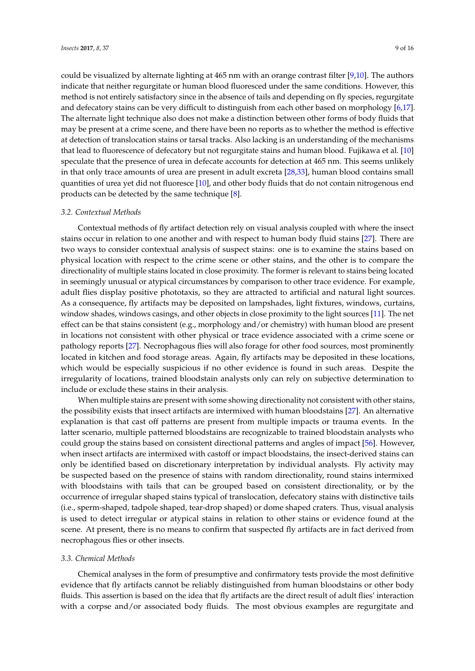could be visualized by alternate lighting at 465 nm with an orange contrast filter [\[9](#page-12-6)[,10\]](#page-12-7). The authors indicate that neither regurgitate or human blood fluoresced under the same conditions. However, this method is not entirely satisfactory since in the absence of tails and depending on fly species, regurgitate and defecatory stains can be very difficult to distinguish from each other based on morphology [\[6](#page-12-3)[,17\]](#page-12-13). The alternate light technique also does not make a distinction between other forms of body fluids that may be present at a crime scene, and there have been no reports as to whether the method is effective at detection of translocation stains or tarsal tracks. Also lacking is an understanding of the mechanisms that lead to fluorescence of defecatory but not regurgitate stains and human blood. Fujikawa et al. [\[10\]](#page-12-7) speculate that the presence of urea in defecate accounts for detection at 465 nm. This seems unlikely in that only trace amounts of urea are present in adult excreta [\[28](#page-13-5)[,33\]](#page-13-10), human blood contains small quantities of urea yet did not fluoresce [\[10\]](#page-12-7), and other body fluids that do not contain nitrogenous end products can be detected by the same technique [\[8\]](#page-12-5).

#### *3.2. Contextual Methods*

Contextual methods of fly artifact detection rely on visual analysis coupled with where the insect stains occur in relation to one another and with respect to human body fluid stains [\[27\]](#page-13-4). There are two ways to consider contextual analysis of suspect stains: one is to examine the stains based on physical location with respect to the crime scene or other stains, and the other is to compare the directionality of multiple stains located in close proximity. The former is relevant to stains being located in seemingly unusual or atypical circumstances by comparison to other trace evidence. For example, adult flies display positive phototaxis, so they are attracted to artificial and natural light sources. As a consequence, fly artifacts may be deposited on lampshades, light fixtures, windows, curtains, window shades, windows casings, and other objects in close proximity to the light sources [\[11\]](#page-12-8). The net effect can be that stains consistent (e.g., morphology and/or chemistry) with human blood are present in locations not consistent with other physical or trace evidence associated with a crime scene or pathology reports [\[27\]](#page-13-4). Necrophagous flies will also forage for other food sources, most prominently located in kitchen and food storage areas. Again, fly artifacts may be deposited in these locations, which would be especially suspicious if no other evidence is found in such areas. Despite the irregularity of locations, trained bloodstain analysts only can rely on subjective determination to include or exclude these stains in their analysis.

When multiple stains are present with some showing directionality not consistent with other stains, the possibility exists that insect artifacts are intermixed with human bloodstains [\[27\]](#page-13-4). An alternative explanation is that cast off patterns are present from multiple impacts or trauma events. In the latter scenario, multiple patterned bloodstains are recognizable to trained bloodstain analysts who could group the stains based on consistent directional patterns and angles of impact [\[56\]](#page-14-10). However, when insect artifacts are intermixed with castoff or impact bloodstains, the insect-derived stains can only be identified based on discretionary interpretation by individual analysts. Fly activity may be suspected based on the presence of stains with random directionality, round stains intermixed with bloodstains with tails that can be grouped based on consistent directionality, or by the occurrence of irregular shaped stains typical of translocation, defecatory stains with distinctive tails (i.e., sperm-shaped, tadpole shaped, tear-drop shaped) or dome shaped craters. Thus, visual analysis is used to detect irregular or atypical stains in relation to other stains or evidence found at the scene. At present, there is no means to confirm that suspected fly artifacts are in fact derived from necrophagous flies or other insects.

#### *3.3. Chemical Methods*

Chemical analyses in the form of presumptive and confirmatory tests provide the most definitive evidence that fly artifacts cannot be reliably distinguished from human bloodstains or other body fluids. This assertion is based on the idea that fly artifacts are the direct result of adult flies' interaction with a corpse and/or associated body fluids. The most obvious examples are regurgitate and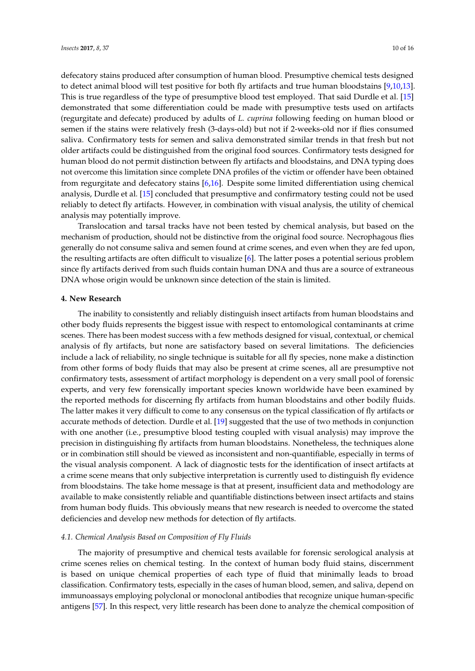defecatory stains produced after consumption of human blood. Presumptive chemical tests designed to detect animal blood will test positive for both fly artifacts and true human bloodstains [\[9,](#page-12-6)[10,](#page-12-7)[13\]](#page-12-10). This is true regardless of the type of presumptive blood test employed. That said Durdle et al. [\[15\]](#page-12-11) demonstrated that some differentiation could be made with presumptive tests used on artifacts (regurgitate and defecate) produced by adults of *L. cuprina* following feeding on human blood or semen if the stains were relatively fresh (3-days-old) but not if 2-weeks-old nor if flies consumed saliva. Confirmatory tests for semen and saliva demonstrated similar trends in that fresh but not older artifacts could be distinguished from the original food sources. Confirmatory tests designed for human blood do not permit distinction between fly artifacts and bloodstains, and DNA typing does not overcome this limitation since complete DNA profiles of the victim or offender have been obtained from regurgitate and defecatory stains [\[6,](#page-12-3)[16\]](#page-12-12). Despite some limited differentiation using chemical analysis, Durdle et al. [\[15\]](#page-12-11) concluded that presumptive and confirmatory testing could not be used reliably to detect fly artifacts. However, in combination with visual analysis, the utility of chemical analysis may potentially improve.

Translocation and tarsal tracks have not been tested by chemical analysis, but based on the mechanism of production, should not be distinctive from the original food source. Necrophagous flies generally do not consume saliva and semen found at crime scenes, and even when they are fed upon, the resulting artifacts are often difficult to visualize [\[6\]](#page-12-3). The latter poses a potential serious problem since fly artifacts derived from such fluids contain human DNA and thus are a source of extraneous DNA whose origin would be unknown since detection of the stain is limited.

#### **4. New Research**

The inability to consistently and reliably distinguish insect artifacts from human bloodstains and other body fluids represents the biggest issue with respect to entomological contaminants at crime scenes. There has been modest success with a few methods designed for visual, contextual, or chemical analysis of fly artifacts, but none are satisfactory based on several limitations. The deficiencies include a lack of reliability, no single technique is suitable for all fly species, none make a distinction from other forms of body fluids that may also be present at crime scenes, all are presumptive not confirmatory tests, assessment of artifact morphology is dependent on a very small pool of forensic experts, and very few forensically important species known worldwide have been examined by the reported methods for discerning fly artifacts from human bloodstains and other bodily fluids. The latter makes it very difficult to come to any consensus on the typical classification of fly artifacts or accurate methods of detection. Durdle et al. [\[19\]](#page-12-16) suggested that the use of two methods in conjunction with one another (i.e., presumptive blood testing coupled with visual analysis) may improve the precision in distinguishing fly artifacts from human bloodstains. Nonetheless, the techniques alone or in combination still should be viewed as inconsistent and non-quantifiable, especially in terms of the visual analysis component. A lack of diagnostic tests for the identification of insect artifacts at a crime scene means that only subjective interpretation is currently used to distinguish fly evidence from bloodstains. The take home message is that at present, insufficient data and methodology are available to make consistently reliable and quantifiable distinctions between insect artifacts and stains from human body fluids. This obviously means that new research is needed to overcome the stated deficiencies and develop new methods for detection of fly artifacts.

#### *4.1. Chemical Analysis Based on Composition of Fly Fluids*

The majority of presumptive and chemical tests available for forensic serological analysis at crime scenes relies on chemical testing. In the context of human body fluid stains, discernment is based on unique chemical properties of each type of fluid that minimally leads to broad classification. Confirmatory tests, especially in the cases of human blood, semen, and saliva, depend on immunoassays employing polyclonal or monoclonal antibodies that recognize unique human-specific antigens [\[57\]](#page-14-11). In this respect, very little research has been done to analyze the chemical composition of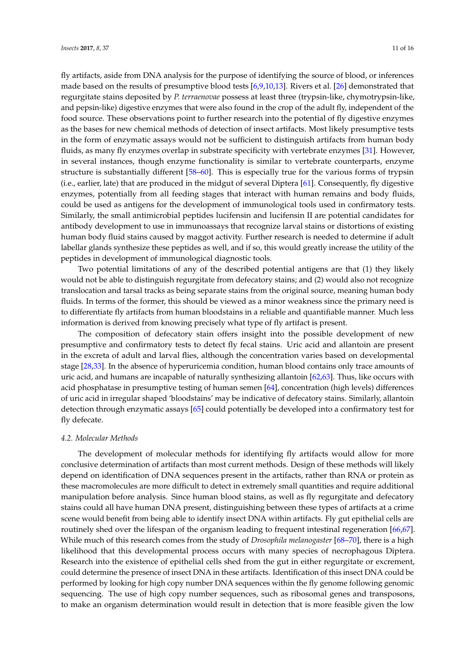fly artifacts, aside from DNA analysis for the purpose of identifying the source of blood, or inferences made based on the results of presumptive blood tests [\[6,](#page-12-3)[9,](#page-12-6)[10,](#page-12-7)[13\]](#page-12-10). Rivers et al. [\[26\]](#page-13-3) demonstrated that regurgitate stains deposited by *P. terraenovae* possess at least three (trypsin-like, chymotrypsin-like, and pepsin-like) digestive enzymes that were also found in the crop of the adult fly, independent of the food source. These observations point to further research into the potential of fly digestive enzymes as the bases for new chemical methods of detection of insect artifacts. Most likely presumptive tests in the form of enzymatic assays would not be sufficient to distinguish artifacts from human body fluids, as many fly enzymes overlap in substrate specificity with vertebrate enzymes [\[31\]](#page-13-8). However, in several instances, though enzyme functionality is similar to vertebrate counterparts, enzyme structure is substantially different [\[58](#page-14-12)[–60\]](#page-14-13). This is especially true for the various forms of trypsin (i.e., earlier, late) that are produced in the midgut of several Diptera [\[61\]](#page-14-14). Consequently, fly digestive enzymes, potentially from all feeding stages that interact with human remains and body fluids, could be used as antigens for the development of immunological tools used in confirmatory tests. Similarly, the small antimicrobial peptides lucifensin and lucifensin II are potential candidates for antibody development to use in immunoassays that recognize larval stains or distortions of existing human body fluid stains caused by maggot activity. Further research is needed to determine if adult labellar glands synthesize these peptides as well, and if so, this would greatly increase the utility of the peptides in development of immunological diagnostic tools.

Two potential limitations of any of the described potential antigens are that (1) they likely would not be able to distinguish regurgitate from defecatory stains; and (2) would also not recognize translocation and tarsal tracks as being separate stains from the original source, meaning human body fluids. In terms of the former, this should be viewed as a minor weakness since the primary need is to differentiate fly artifacts from human bloodstains in a reliable and quantifiable manner. Much less information is derived from knowing precisely what type of fly artifact is present.

The composition of defecatory stain offers insight into the possible development of new presumptive and confirmatory tests to detect fly fecal stains. Uric acid and allantoin are present in the excreta of adult and larval flies, although the concentration varies based on developmental stage [\[28,](#page-13-5)[33\]](#page-13-10). In the absence of hyperuricemia condition, human blood contains only trace amounts of uric acid, and humans are incapable of naturally synthesizing allantoin [\[62,](#page-14-15)[63\]](#page-14-16). Thus, like occurs with acid phosphatase in presumptive testing of human semen [\[64\]](#page-14-17), concentration (high levels) differences of uric acid in irregular shaped 'bloodstains' may be indicative of defecatory stains. Similarly, allantoin detection through enzymatic assays [\[65\]](#page-14-18) could potentially be developed into a confirmatory test for fly defecate.

## *4.2. Molecular Methods*

The development of molecular methods for identifying fly artifacts would allow for more conclusive determination of artifacts than most current methods. Design of these methods will likely depend on identification of DNA sequences present in the artifacts, rather than RNA or protein as these macromolecules are more difficult to detect in extremely small quantities and require additional manipulation before analysis. Since human blood stains, as well as fly regurgitate and defecatory stains could all have human DNA present, distinguishing between these types of artifacts at a crime scene would benefit from being able to identify insect DNA within artifacts. Fly gut epithelial cells are routinely shed over the lifespan of the organism leading to frequent intestinal regeneration [\[66,](#page-14-19)[67\]](#page-14-20). While much of this research comes from the study of *Drosophila melanogaster* [\[68](#page-14-21)[–70\]](#page-15-0), there is a high likelihood that this developmental process occurs with many species of necrophagous Diptera. Research into the existence of epithelial cells shed from the gut in either regurgitate or excrement, could determine the presence of insect DNA in these artifacts. Identification of this insect DNA could be performed by looking for high copy number DNA sequences within the fly genome following genomic sequencing. The use of high copy number sequences, such as ribosomal genes and transposons, to make an organism determination would result in detection that is more feasible given the low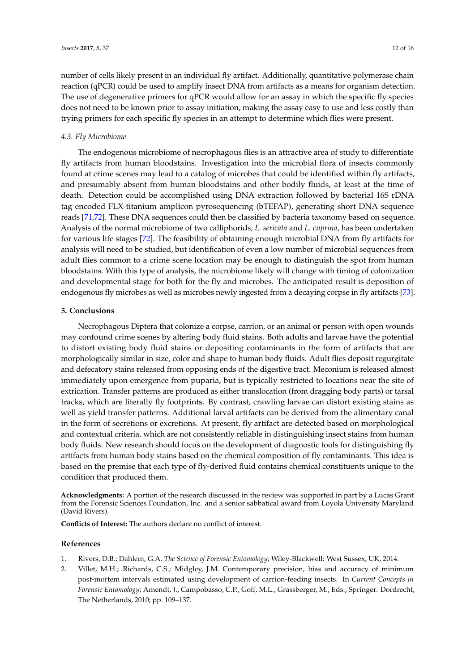number of cells likely present in an individual fly artifact. Additionally, quantitative polymerase chain reaction (qPCR) could be used to amplify insect DNA from artifacts as a means for organism detection. The use of degenerative primers for qPCR would allow for an assay in which the specific fly species does not need to be known prior to assay initiation, making the assay easy to use and less costly than trying primers for each specific fly species in an attempt to determine which flies were present.

#### *4.3. Fly Microbiome*

The endogenous microbiome of necrophagous flies is an attractive area of study to differentiate fly artifacts from human bloodstains. Investigation into the microbial flora of insects commonly found at crime scenes may lead to a catalog of microbes that could be identified within fly artifacts, and presumably absent from human bloodstains and other bodily fluids, at least at the time of death. Detection could be accomplished using DNA extraction followed by bacterial 16S rDNA tag encoded FLX-titanium amplicon pyrosequencing (bTEFAP), generating short DNA sequence reads [\[71,](#page-15-1)[72\]](#page-15-2). These DNA sequences could then be classified by bacteria taxonomy based on sequence. Analysis of the normal microbiome of two calliphorids, *L. sericata* and *L. cuprina*, has been undertaken for various life stages [\[72\]](#page-15-2). The feasibility of obtaining enough microbial DNA from fly artifacts for analysis will need to be studied, but identification of even a low number of microbial sequences from adult flies common to a crime scene location may be enough to distinguish the spot from human bloodstains. With this type of analysis, the microbiome likely will change with timing of colonization and developmental stage for both for the fly and microbes. The anticipated result is deposition of endogenous fly microbes as well as microbes newly ingested from a decaying corpse in fly artifacts [\[73\]](#page-15-3).

## **5. Conclusions**

Necrophagous Diptera that colonize a corpse, carrion, or an animal or person with open wounds may confound crime scenes by altering body fluid stains. Both adults and larvae have the potential to distort existing body fluid stains or depositing contaminants in the form of artifacts that are morphologically similar in size, color and shape to human body fluids. Adult flies deposit regurgitate and defecatory stains released from opposing ends of the digestive tract. Meconium is released almost immediately upon emergence from puparia, but is typically restricted to locations near the site of extrication. Transfer patterns are produced as either translocation (from dragging body parts) or tarsal tracks, which are literally fly footprints. By contrast, crawling larvae can distort existing stains as well as yield transfer patterns. Additional larval artifacts can be derived from the alimentary canal in the form of secretions or excretions. At present, fly artifact are detected based on morphological and contextual criteria, which are not consistently reliable in distinguishing insect stains from human body fluids. New research should focus on the development of diagnostic tools for distinguishing fly artifacts from human body stains based on the chemical composition of fly contaminants. This idea is based on the premise that each type of fly-derived fluid contains chemical constituents unique to the condition that produced them.

**Acknowledgments:** A portion of the research discussed in the review was supported in part by a Lucas Grant from the Forensic Sciences Foundation, Inc. and a senior sabbatical award from Loyola University Maryland (David Rivers).

**Conflicts of Interest:** The authors declare no conflict of interest.

#### **References**

- <span id="page-11-0"></span>1. Rivers, D.B.; Dahlem, G.A. *The Science of Forensic Entomology*; Wiley-Blackwell: West Sussex, UK, 2014.
- <span id="page-11-1"></span>2. Villet, M.H.; Richards, C.S.; Midgley, J.M. Contemporary precision, bias and accuracy of minimum post-mortem intervals estimated using development of carrion-feeding insects. In *Current Concepts in Forensic Entomology*; Amendt, J., Campobasso, C.P., Goff, M.L., Grassberger, M., Eds.; Springer: Dordrecht, The Netherlands, 2010; pp. 109–137.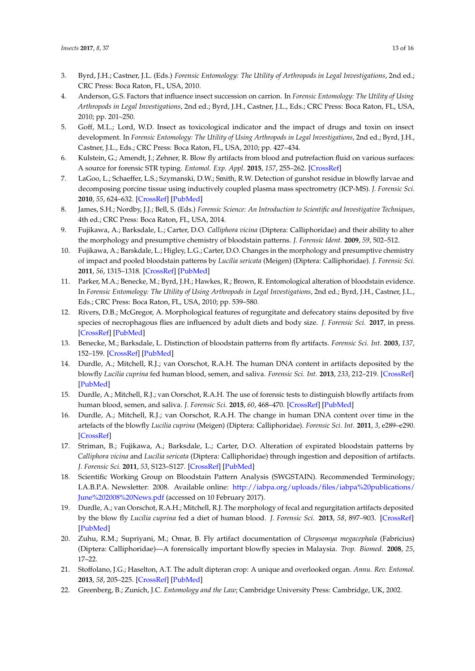- <span id="page-12-0"></span>3. Byrd, J.H.; Castner, J.L. (Eds.) *Forensic Entomology: The Utility of Arthropods in Legal Investigations*, 2nd ed.; CRC Press: Boca Raton, FL, USA, 2010.
- <span id="page-12-1"></span>4. Anderson, G.S. Factors that influence insect succession on carrion. In *Forensic Entomology: The Utility of Using Arthropods in Legal Investigations*, 2nd ed.; Byrd, J.H., Castner, J.L., Eds.; CRC Press: Boca Raton, FL, USA, 2010; pp. 201–250.
- <span id="page-12-2"></span>5. Goff, M.L.; Lord, W.D. Insect as toxicological indicator and the impact of drugs and toxin on insect development. In *Forensic Entomology: The Utility of Using Arthropods in Legal Investigations*, 2nd ed.; Byrd, J.H., Castner, J.L., Eds.; CRC Press: Boca Raton, FL, USA, 2010; pp. 427–434.
- <span id="page-12-3"></span>6. Kulstein, G.; Amendt, J.; Zehner, R. Blow fly artifacts from blood and putrefaction fluid on various surfaces: A source for forensic STR typing. *Entomol. Exp. Appl.* **2015**, *157*, 255–262. [\[CrossRef\]](http://dx.doi.org/10.1111/eea.12365)
- <span id="page-12-4"></span>7. LaGoo, L.; Schaeffer, L.S.; Szymanski, D.W.; Smith, R.W. Detection of gunshot residue in blowfly larvae and decomposing porcine tissue using inductively coupled plasma mass spectrometry (ICP-MS). *J. Forensic Sci.* **2010**, *55*, 624–632. [\[CrossRef\]](http://dx.doi.org/10.1111/j.1556-4029.2010.01327.x) [\[PubMed\]](http://www.ncbi.nlm.nih.gov/pubmed/20202063)
- <span id="page-12-5"></span>8. James, S.H.; Nordby, J.J.; Bell, S. (Eds.) *Forensic Science: An Introduction to Scientific and Investigative Techniques*, 4th ed.; CRC Press: Boca Raton, FL, USA, 2014.
- <span id="page-12-6"></span>9. Fujikawa, A.; Barksdale, L.; Carter, D.O. *Calliphora vicina* (Diptera: Calliphoridae) and their ability to alter the morphology and presumptive chemistry of bloodstain patterns. *J. Forensic Ident.* **2009**, *59*, 502–512.
- <span id="page-12-7"></span>10. Fujikawa, A.; Barskdale, L.; Higley, L.G.; Carter, D.O. Changes in the morphology and presumptive chemistry of impact and pooled bloodstain patterns by *Lucilia sericata* (Meigen) (Diptera: Calliphoridae). *J. Forensic Sci.* **2011**, *56*, 1315–1318. [\[CrossRef\]](http://dx.doi.org/10.1111/j.1556-4029.2011.01800.x) [\[PubMed\]](http://www.ncbi.nlm.nih.gov/pubmed/21554312)
- <span id="page-12-8"></span>11. Parker, M.A.; Benecke, M.; Byrd, J.H.; Hawkes, R.; Brown, R. Entomological alteration of bloodstain evidence. In *Forensic Entomology: The Utility of Using Arthropods in Legal Investigations*, 2nd ed.; Byrd, J.H., Castner, J.L., Eds.; CRC Press: Boca Raton, FL, USA, 2010; pp. 539–580.
- <span id="page-12-9"></span>12. Rivers, D.B.; McGregor, A. Morphological features of regurgitate and defecatory stains deposited by five species of necrophagous flies are influenced by adult diets and body size. *J. Forensic Sci.* **2017**, in press. [\[CrossRef\]](http://dx.doi.org/10.1111/1556-4029.13459) [\[PubMed\]](http://www.ncbi.nlm.nih.gov/pubmed/28230912)
- <span id="page-12-10"></span>13. Benecke, M.; Barksdale, L. Distinction of bloodstain patterns from fly artifacts. *Forensic Sci. Int.* **2003**, *137*, 152–159. [\[CrossRef\]](http://dx.doi.org/10.1016/j.forsciint.2003.07.012) [\[PubMed\]](http://www.ncbi.nlm.nih.gov/pubmed/14609651)
- <span id="page-12-15"></span>14. Durdle, A.; Mitchell, R.J.; van Oorschot, R.A.H. The human DNA content in artifacts deposited by the blowfly *Lucilia cuprina* fed human blood, semen, and saliva. *Forensic Sci. Int.* **2013**, *233*, 212–219. [\[CrossRef\]](http://dx.doi.org/10.1016/j.forsciint.2013.09.015) [\[PubMed\]](http://www.ncbi.nlm.nih.gov/pubmed/24314522)
- <span id="page-12-11"></span>15. Durdle, A.; Mitchell, R.J.; van Oorschot, R.A.H. The use of forensic tests to distinguish blowfly artifacts from human blood, semen, and saliva. *J. Forensic Sci.* **2015**, *60*, 468–470. [\[CrossRef\]](http://dx.doi.org/10.1111/1556-4029.12663) [\[PubMed\]](http://www.ncbi.nlm.nih.gov/pubmed/25407611)
- <span id="page-12-12"></span>16. Durdle, A.; Mitchell, R.J.; van Oorschot, R.A.H. The change in human DNA content over time in the artefacts of the blowfly *Lucilia cuprina* (Meigen) (Diptera: Calliphoridae). *Forensic Sci. Int.* **2011**, *3*, e289–e290. [\[CrossRef\]](http://dx.doi.org/10.1016/j.fsigss.2011.09.007)
- <span id="page-12-13"></span>17. Striman, B.; Fujikawa, A.; Barksdale, L.; Carter, D.O. Alteration of expirated bloodstain patterns by *Calliphora vicina* and *Lucilia sericata* (Diptera: Calliphoridae) through ingestion and deposition of artifacts. *J. Forensic Sci.* **2011**, *53*, S123–S127. [\[CrossRef\]](http://dx.doi.org/10.1111/j.1556-4029.2010.01575.x) [\[PubMed\]](http://www.ncbi.nlm.nih.gov/pubmed/21039518)
- <span id="page-12-14"></span>18. Scientific Working Group on Bloodstain Pattern Analysis (SWGSTAIN). Recommended Terminology; I.A.B.P.A. Newsletter: 2008. Available online: [http://iabpa.org/uploads/files/iabpa%20publications/](http://iabpa.org/uploads/files/iabpa%20publications/June%202008%20News.pdf) [June%202008%20News.pdf](http://iabpa.org/uploads/files/iabpa%20publications/June%202008%20News.pdf) (accessed on 10 February 2017).
- <span id="page-12-16"></span>19. Durdle, A.; van Oorschot, R.A.H.; Mitchell, R.J. The morphology of fecal and regurgitation artifacts deposited by the blow fly *Lucilia cuprina* fed a diet of human blood. *J. Forensic Sci.* **2013**, *58*, 897–903. [\[CrossRef\]](http://dx.doi.org/10.1111/1556-4029.12145) [\[PubMed\]](http://www.ncbi.nlm.nih.gov/pubmed/23551179)
- <span id="page-12-17"></span>20. Zuhu, R.M.; Supriyani, M.; Omar, B. Fly artifact documentation of *Chrysomya megacephala* (Fabricius) (Diptera: Calliphoridae)—A forensically important blowfly species in Malaysia. *Trop. Biomed.* **2008**, *25*, 17–22.
- <span id="page-12-18"></span>21. Stoffolano, J.G.; Haselton, A.T. The adult dipteran crop: A unique and overlooked organ. *Annu. Rev. Entomol.* **2013**, *58*, 205–225. [\[CrossRef\]](http://dx.doi.org/10.1146/annurev-ento-120811-153653) [\[PubMed\]](http://www.ncbi.nlm.nih.gov/pubmed/23317042)
- <span id="page-12-19"></span>22. Greenberg, B.; Zunich, J.C. *Entomology and the Law*; Cambridge University Press: Cambridge, UK, 2002.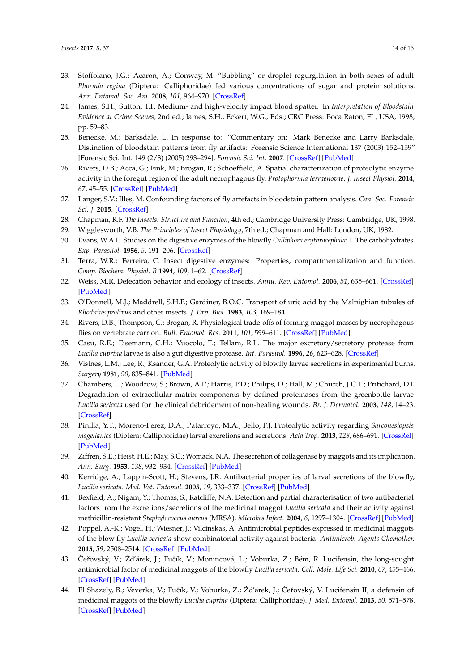- <span id="page-13-0"></span>23. Stoffolano, J.G.; Acaron, A.; Conway, M. "Bubbling" or droplet regurgitation in both sexes of adult *Phormia regina* (Diptera: Calliphoridae) fed various concentrations of sugar and protein solutions. *Ann. Entomol. Soc. Am.* **2008**, *101*, 964–970. [\[CrossRef\]](http://dx.doi.org/10.1603/0013-8746(2008)101[964:BODRIB]2.0.CO;2)
- <span id="page-13-1"></span>24. James, S.H.; Sutton, T.P. Medium- and high-velocity impact blood spatter. In *Interpretation of Bloodstain Evidence at Crime Scenes*, 2nd ed.; James, S.H., Eckert, W.G., Eds.; CRC Press: Boca Raton, FL, USA, 1998; pp. 59–83.
- <span id="page-13-2"></span>25. Benecke, M.; Barksdale, L. In response to: "Commentary on: Mark Benecke and Larry Barksdale, Distinction of bloodstain patterns from fly artifacts: Forensic Science International 137 (2003) 152–159" [Forensic Sci. Int. 149 (2/3) (2005) 293–294]. *Forensic Sci. Int.* **2007**. [\[CrossRef\]](http://dx.doi.org/10.1016/j.forsciint.2006.07.008) [\[PubMed\]](http://www.ncbi.nlm.nih.gov/pubmed/16952429)
- <span id="page-13-3"></span>26. Rivers, D.B.; Acca, G.; Fink, M.; Brogan, R.; Schoeffield, A. Spatial characterization of proteolytic enzyme activity in the foregut region of the adult necrophagous fly, *Protophormia terraenovae*. *J. Insect Physiol.* **2014**, *67*, 45–55. [\[CrossRef\]](http://dx.doi.org/10.1016/j.jinsphys.2014.06.006) [\[PubMed\]](http://www.ncbi.nlm.nih.gov/pubmed/24968146)
- <span id="page-13-4"></span>27. Langer, S.V.; Illes, M. Confounding factors of fly artefacts in bloodstain pattern analysis. *Can. Soc. Forensic Sci. J.* **2015**. [\[CrossRef\]](http://dx.doi.org/10.1080/00085030.2015.1083306)
- <span id="page-13-5"></span>28. Chapman, R.F. *The Insects: Structure and Function*, 4th ed.; Cambridge University Press: Cambridge, UK, 1998.
- <span id="page-13-6"></span>29. Wigglesworth, V.B. *The Principles of Insect Physiology*, 7th ed.; Chapman and Hall: London, UK, 1982.
- <span id="page-13-7"></span>30. Evans, W.A.L. Studies on the digestive enzymes of the blowfly *Calliphora erythrocephala*: I. The carbohydrates. *Exp. Parasitol.* **1956**, *5*, 191–206. [\[CrossRef\]](http://dx.doi.org/10.1016/0014-4894(56)90014-5)
- <span id="page-13-8"></span>31. Terra, W.R.; Ferreira, C. Insect digestive enzymes: Properties, compartmentalization and function. *Comp. Biochem. Physiol. B* **1994**, *109*, 1–62. [\[CrossRef\]](http://dx.doi.org/10.1016/0305-0491(94)90141-4)
- <span id="page-13-9"></span>32. Weiss, M.R. Defecation behavior and ecology of insects. *Annu. Rev. Entomol.* **2006**, *51*, 635–661. [\[CrossRef\]](http://dx.doi.org/10.1146/annurev.ento.49.061802.123212) [\[PubMed\]](http://www.ncbi.nlm.nih.gov/pubmed/16332226)
- <span id="page-13-10"></span>33. O'Donnell, M.J.; Maddrell, S.H.P.; Gardiner, B.O.C. Transport of uric acid by the Malpighian tubules of *Rhodnius prolixus* and other insects. *J. Exp. Biol.* **1983**, *103*, 169–184.
- <span id="page-13-11"></span>34. Rivers, D.B.; Thompson, C.; Brogan, R. Physiological trade-offs of forming maggot masses by necrophagous flies on vertebrate carrion. *Bull. Entomol. Res.* **2011**, *101*, 599–611. [\[CrossRef\]](http://dx.doi.org/10.1017/S0007485311000241) [\[PubMed\]](http://www.ncbi.nlm.nih.gov/pubmed/21729395)
- <span id="page-13-12"></span>35. Casu, R.E.; Eisemann, C.H.; Vuocolo, T.; Tellam, R.L. The major excretory/secretory protease from *Lucilia cuprina* larvae is also a gut digestive protease. *Int. Parasitol.* **1996**, *26*, 623–628. [\[CrossRef\]](http://dx.doi.org/10.1016/0020-7519(96)00035-5)
- <span id="page-13-13"></span>36. Vistnes, L.M.; Lee, R.; Ksander, G.A. Proteolytic activity of blowfly larvae secretions in experimental burns. *Surgery* **1981**, *90*, 835–841. [\[PubMed\]](http://www.ncbi.nlm.nih.gov/pubmed/7029766)
- 37. Chambers, L.; Woodrow, S.; Brown, A.P.; Harris, P.D.; Philips, D.; Hall, M.; Church, J.C.T.; Pritichard, D.I. Degradation of extracellular matrix components by defined proteinases from the greenbottle larvae *Lucilia sericata* used for the clinical debridement of non-healing wounds. *Br. J. Dermatol.* **2003**, *148*, 14–23. [\[CrossRef\]](http://dx.doi.org/10.1046/j.1365-2133.2003.04935.x)
- <span id="page-13-14"></span>38. Pinilla, Y.T.; Moreno-Perez, D.A.; Patarroyo, M.A.; Bello, F.J. Proteolytic activity regarding *Sarconesiopsis magellanica* (Diptera: Calliphoridae) larval excretions and secretions. *Acta Trop.* **2013**, *128*, 686–691. [\[CrossRef\]](http://dx.doi.org/10.1016/j.actatropica.2013.09.020) [\[PubMed\]](http://www.ncbi.nlm.nih.gov/pubmed/24076089)
- <span id="page-13-15"></span>39. Ziffren, S.E.; Heist, H.E.; May, S.C.; Womack, N.A. The secretion of collagenase by maggots and its implication. *Ann. Surg.* **1953**, *138*, 932–934. [\[CrossRef\]](http://dx.doi.org/10.1097/00000658-195312000-00023) [\[PubMed\]](http://www.ncbi.nlm.nih.gov/pubmed/13105247)
- <span id="page-13-16"></span>40. Kerridge, A.; Lappin-Scott, H.; Stevens, J.R. Antibacterial properties of larval secretions of the blowfly, *Lucilia sericata*. *Med. Vet. Entomol.* **2005**, *19*, 333–337. [\[CrossRef\]](http://dx.doi.org/10.1111/j.1365-2915.2005.00577.x) [\[PubMed\]](http://www.ncbi.nlm.nih.gov/pubmed/16134984)
- 41. Bexfield, A.; Nigam, Y.; Thomas, S.; Ratcliffe, N.A. Detection and partial characterisation of two antibacterial factors from the excretions/secretions of the medicinal maggot *Lucilia sericata* and their activity against methicillin-resistant *Staphylococcus aureus* (MRSA). *Microbes Infect.* **2004**, *6*, 1297–1304. [\[CrossRef\]](http://dx.doi.org/10.1016/j.micinf.2004.08.011) [\[PubMed\]](http://www.ncbi.nlm.nih.gov/pubmed/15555536)
- <span id="page-13-17"></span>42. Poppel, A.-K.; Vogel, H.; Wiesner, J.; Vilcinskas, A. Antimicrobial peptides expressed in medicinal maggots of the blow fly *Lucilia sericata* show combinatorial activity against bacteria. *Antimicrob. Agents Chemother.* **2015**, *59*, 2508–2514. [\[CrossRef\]](http://dx.doi.org/10.1128/AAC.05180-14) [\[PubMed\]](http://www.ncbi.nlm.nih.gov/pubmed/25666157)
- <span id="page-13-18"></span>43. Čeřovský, V.; Žďárek, J.; Fučík, V.; Monincová, L.; Voburka, Z.; Bém, R. Lucifensin, the long-sought antimicrobial factor of medicinal maggots of the blowfly *Lucilia sericata*. *Cell. Mole. Life Sci.* **2010**, *67*, 455–466. [\[CrossRef\]](http://dx.doi.org/10.1007/s00018-009-0194-0) [\[PubMed\]](http://www.ncbi.nlm.nih.gov/pubmed/19921400)
- <span id="page-13-19"></span>44. El Shazely, B.; Veverka, V.; Fučík, V.; Voburka, Z.; Žďárek, J.; Čeřovský, V. Lucifensin II, a defensin of medicinal maggots of the blowfly *Lucilia cuprina* (Diptera: Calliphoridae). *J. Med. Entomol.* **2013**, *50*, 571–578. [\[CrossRef\]](http://dx.doi.org/10.1603/ME12208) [\[PubMed\]](http://www.ncbi.nlm.nih.gov/pubmed/23802451)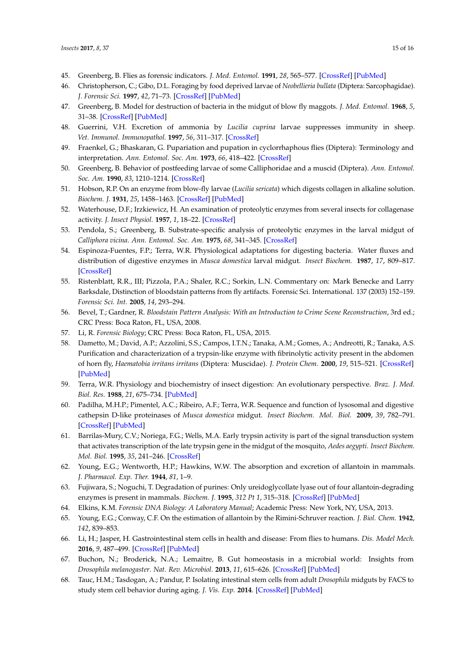- <span id="page-14-0"></span>45. Greenberg, B. Flies as forensic indicators. *J. Med. Entomol.* **1991**, *28*, 565–577. [\[CrossRef\]](http://dx.doi.org/10.1093/jmedent/28.5.565) [\[PubMed\]](http://www.ncbi.nlm.nih.gov/pubmed/1941921)
- <span id="page-14-1"></span>46. Christopherson, C.; Gibo, D.L. Foraging by food deprived larvae of *Neobellieria bullata* (Diptera: Sarcophagidae). *J. Forensic Sci.* **1997**, *42*, 71–73. [\[CrossRef\]](http://dx.doi.org/10.1520/JFS14069J) [\[PubMed\]](http://www.ncbi.nlm.nih.gov/pubmed/8988575)
- <span id="page-14-2"></span>47. Greenberg, B. Model for destruction of bacteria in the midgut of blow fly maggots. *J. Med. Entomol.* **1968**, *5*, 31–38. [\[CrossRef\]](http://dx.doi.org/10.1093/jmedent/5.1.31) [\[PubMed\]](http://www.ncbi.nlm.nih.gov/pubmed/5642175)
- <span id="page-14-3"></span>48. Guerrini, V.H. Excretion of ammonia by *Lucilia cuprina* larvae suppresses immunity in sheep. *Vet. Immunol. Immunopathol.* **1997**, *56*, 311–317. [\[CrossRef\]](http://dx.doi.org/10.1016/S0165-2427(96)05744-3)
- <span id="page-14-4"></span>49. Fraenkel, G.; Bhaskaran, G. Pupariation and pupation in cyclorrhaphous flies (Diptera): Terminology and interpretation. *Ann. Entomol. Soc. Am.* **1973**, *66*, 418–422. [\[CrossRef\]](http://dx.doi.org/10.1093/aesa/66.2.418)
- <span id="page-14-5"></span>50. Greenberg, B. Behavior of postfeeding larvae of some Calliphoridae and a muscid (Diptera). *Ann. Entomol. Soc. Am.* **1990**, *83*, 1210–1214. [\[CrossRef\]](http://dx.doi.org/10.1093/aesa/83.6.1210)
- <span id="page-14-6"></span>51. Hobson, R.P. On an enzyme from blow-fly larvae (*Lucilia sericata*) which digests collagen in alkaline solution. *Biochem. J.* **1931**, *25*, 1458–1463. [\[CrossRef\]](http://dx.doi.org/10.1042/bj0251458) [\[PubMed\]](http://www.ncbi.nlm.nih.gov/pubmed/16744710)
- 52. Waterhouse, D.F.; Irzkiewicz, H. An examination of proteolytic enzymes from several insects for collagenase activity. *J. Insect Physiol.* **1957**, *1*, 18–22. [\[CrossRef\]](http://dx.doi.org/10.1016/0022-1910(57)90020-3)
- <span id="page-14-7"></span>53. Pendola, S.; Greenberg, B. Substrate-specific analysis of proteolytic enzymes in the larval midgut of *Calliphora vicina*. *Ann. Entomol. Soc. Am.* **1975**, *68*, 341–345. [\[CrossRef\]](http://dx.doi.org/10.1093/aesa/68.2.341)
- <span id="page-14-8"></span>54. Espinoza-Fuentes, F.P.; Terra, W.R. Physiological adaptations for digesting bacteria. Water fluxes and distribution of digestive enzymes in *Musca domestica* larval midgut. *Insect Biochem.* **1987**, *17*, 809–817. [\[CrossRef\]](http://dx.doi.org/10.1016/0020-1790(87)90015-1)
- <span id="page-14-9"></span>55. Ristenblatt, R.R., III; Pizzola, P.A.; Shaler, R.C.; Sorkin, L.N. Commentary on: Mark Benecke and Larry Barksdale, Distinction of bloodstain patterns from fly artifacts. Forensic Sci. International. 137 (2003) 152–159. *Forensic Sci. Int.* **2005**, *14*, 293–294.
- <span id="page-14-10"></span>56. Bevel, T.; Gardner, R. *Bloodstain Pattern Analysis: With an Introduction to Crime Scene Reconstruction*, 3rd ed.; CRC Press: Boca Raton, FL, USA, 2008.
- <span id="page-14-11"></span>57. Li, R. *Forensic Biology*; CRC Press: Boca Raton, FL, USA, 2015.
- <span id="page-14-12"></span>58. Dametto, M.; David, A.P.; Azzolini, S.S.; Campos, I.T.N.; Tanaka, A.M.; Gomes, A.; Andreotti, R.; Tanaka, A.S. Purification and characterization of a trypsin-like enzyme with fibrinolytic activity present in the abdomen of horn fly, *Haematobia irritans irritans* (Diptera: Muscidae). *J. Protein Chem.* **2000**, *19*, 515–521. [\[CrossRef\]](http://dx.doi.org/10.1023/A:1026557600429) [\[PubMed\]](http://www.ncbi.nlm.nih.gov/pubmed/11195976)
- 59. Terra, W.R. Physiology and biochemistry of insect digestion: An evolutionary perspective. *Braz. J. Med. Biol. Res.* **1988**, *21*, 675–734. [\[PubMed\]](http://www.ncbi.nlm.nih.gov/pubmed/3071386)
- <span id="page-14-13"></span>60. Padilha, M.H.P.; Pimentel, A.C.; Ribeiro, A.F.; Terra, W.R. Sequence and function of lysosomal and digestive cathepsin D-like proteinases of *Musca domestica* midgut. *Insect Biochem. Mol. Biol.* **2009**, *39*, 782–791. [\[CrossRef\]](http://dx.doi.org/10.1016/j.ibmb.2009.09.003) [\[PubMed\]](http://www.ncbi.nlm.nih.gov/pubmed/19815068)
- <span id="page-14-14"></span>61. Barrilas-Mury, C.V.; Noriega, F.G.; Wells, M.A. Early trypsin activity is part of the signal transduction system that activates transcription of the late trypsin gene in the midgut of the mosquito, *Aedes aegypti*. *Insect Biochem. Mol. Biol.* **1995**, *35*, 241–246. [\[CrossRef\]](http://dx.doi.org/10.1016/0965-1748(94)00061-L)
- <span id="page-14-15"></span>62. Young, E.G.; Wentworth, H.P.; Hawkins, W.W. The absorption and excretion of allantoin in mammals. *J. Pharmacol. Exp. Ther.* **1944**, *81*, 1–9.
- <span id="page-14-16"></span>63. Fujiwara, S.; Noguchi, T. Degradation of purines: Only ureidoglycollate lyase out of four allantoin-degrading enzymes is present in mammals. *Biochem. J.* **1995**, *312 Pt 1*, 315–318. [\[CrossRef\]](http://dx.doi.org/10.1042/bj3120315) [\[PubMed\]](http://www.ncbi.nlm.nih.gov/pubmed/7492331)
- <span id="page-14-18"></span><span id="page-14-17"></span>64. Elkins, K.M. *Forensic DNA Biology: A Laboratory Manual*; Academic Press: New York, NY, USA, 2013.
- 65. Young, E.G.; Conway, C.F. On the estimation of allantoin by the Rimini-Schruver reaction. *J. Biol. Chem.* **1942**, *142*, 839–853.
- <span id="page-14-19"></span>66. Li, H.; Jasper, H. Gastrointestinal stem cells in health and disease: From flies to humans. *Dis. Model Mech.* **2016**, *9*, 487–499. [\[CrossRef\]](http://dx.doi.org/10.1242/dmm.024232) [\[PubMed\]](http://www.ncbi.nlm.nih.gov/pubmed/27112333)
- <span id="page-14-20"></span>67. Buchon, N.; Broderick, N.A.; Lemaitre, B. Gut homeostasis in a microbial world: Insights from *Drosophila melanogaster*. *Nat. Rev. Microbiol.* **2013**, *11*, 615–626. [\[CrossRef\]](http://dx.doi.org/10.1038/nrmicro3074) [\[PubMed\]](http://www.ncbi.nlm.nih.gov/pubmed/23893105)
- <span id="page-14-21"></span>68. Tauc, H.M.; Tasdogan, A.; Pandur, P. Isolating intestinal stem cells from adult *Drosophila* midguts by FACS to study stem cell behavior during aging. *J. Vis. Exp.* **2014**. [\[CrossRef\]](http://dx.doi.org/10.3791/52223) [\[PubMed\]](http://www.ncbi.nlm.nih.gov/pubmed/25548862)